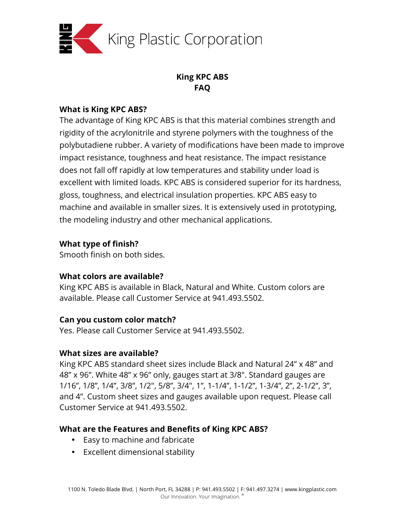

# **King KPC ABS FAQ**

### **What is King KPC ABS?**

The advantage of King KPC ABS is that this material combines strength and rigidity of the acrylonitrile and styrene polymers with the toughness of the polybutadiene rubber. A variety of modifications have been made to improve impact resistance, toughness and heat resistance. The impact resistance does not fall off rapidly at low temperatures and stability under load is excellent with limited loads. KPC ABS is considered superior for its hardness, gloss, toughness, and electrical insulation properties. KPC ABS easy to machine and available in smaller sizes. It is extensively used in prototyping, the modeling industry and other mechanical applications.

# **What type of finish?**

Smooth finish on both sides.

# **What colors are available?**

King KPC ABS is available in Black, Natural and White. Custom colors are available. Please call Customer Service at 941.493.5502.

# **Can you custom color match?**

Yes. Please call Customer Service at 941.493.5502.

# **What sizes are available?**

King KPC ABS standard sheet sizes include Black and Natural 24" x 48" and 48" x 96". White 48" x 96" only, gauges start at 3/8". Standard gauges are 1/16", 1/8", 1/4", 3/8", 1/2", 5/8", 3/4", 1", 1-1/4", 1-1/2", 1-3/4", 2", 2-1/2", 3", and 4". Custom sheet sizes and gauges available upon request. Please call Customer Service at 941.493.5502.

# **What are the Features and Benefits of King KPC ABS?**

- Easy to machine and fabricate
- Excellent dimensional stability